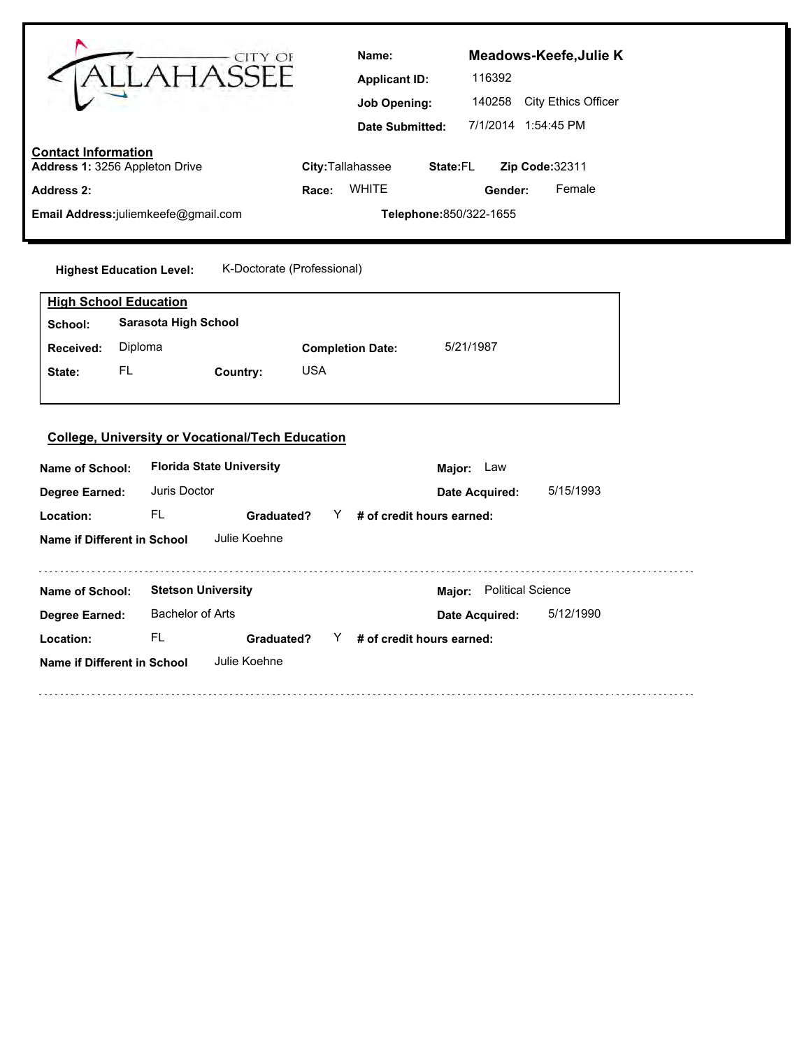|                                                                                                                     | AHASSEE                                                               | Name:<br><b>Applicant ID:</b><br><b>Job Opening:</b><br><b>Date Submitted:</b> | Meadows-Keefe, Julie K<br>116392<br>140258 City Ethics Officer<br>7/1/2014 1:54:45 PM |  |
|---------------------------------------------------------------------------------------------------------------------|-----------------------------------------------------------------------|--------------------------------------------------------------------------------|---------------------------------------------------------------------------------------|--|
| <b>Contact Information</b><br>Address 1: 3256 Appleton Drive                                                        |                                                                       | City: Tallahassee                                                              | State:FL<br>Zip Code:32311                                                            |  |
| <b>Address 2:</b>                                                                                                   |                                                                       | <b>WHITE</b><br>Race:                                                          | Female<br>Gender:                                                                     |  |
| Email Address:juliemkeefe@gmail.com                                                                                 |                                                                       |                                                                                | Telephone: 850/322-1655                                                               |  |
| <b>Highest Education Level:</b><br><b>High School Education</b><br>School:<br>Diploma<br>Received:<br>FL.<br>State: | K-Doctorate (Professional)<br><b>Sarasota High School</b><br>Country: | <b>Completion Date:</b><br><b>USA</b>                                          | 5/21/1987                                                                             |  |
|                                                                                                                     | <b>College, University or Vocational/Tech Education</b>               |                                                                                |                                                                                       |  |
| Name of School:                                                                                                     | <b>Florida State University</b>                                       |                                                                                | Major: Law                                                                            |  |
| <b>Degree Earned:</b>                                                                                               | Juris Doctor                                                          |                                                                                | 5/15/1993<br>Date Acquired:                                                           |  |
| Location:                                                                                                           | <b>FL</b><br>Graduated?                                               | # of credit hours earned:<br>Y                                                 |                                                                                       |  |
| Name if Different in School                                                                                         | Julie Koehne                                                          |                                                                                |                                                                                       |  |
| Name of School:                                                                                                     | <b>Stetson University</b>                                             |                                                                                | Major: Political Science                                                              |  |
| Degree Earned:                                                                                                      | <b>Bachelor of Arts</b>                                               |                                                                                | 5/12/1990<br>Date Acquired:                                                           |  |

**Name if Different in School** Julie Koehne

**Location:**

FL Graduated? Y # of credit hours earned: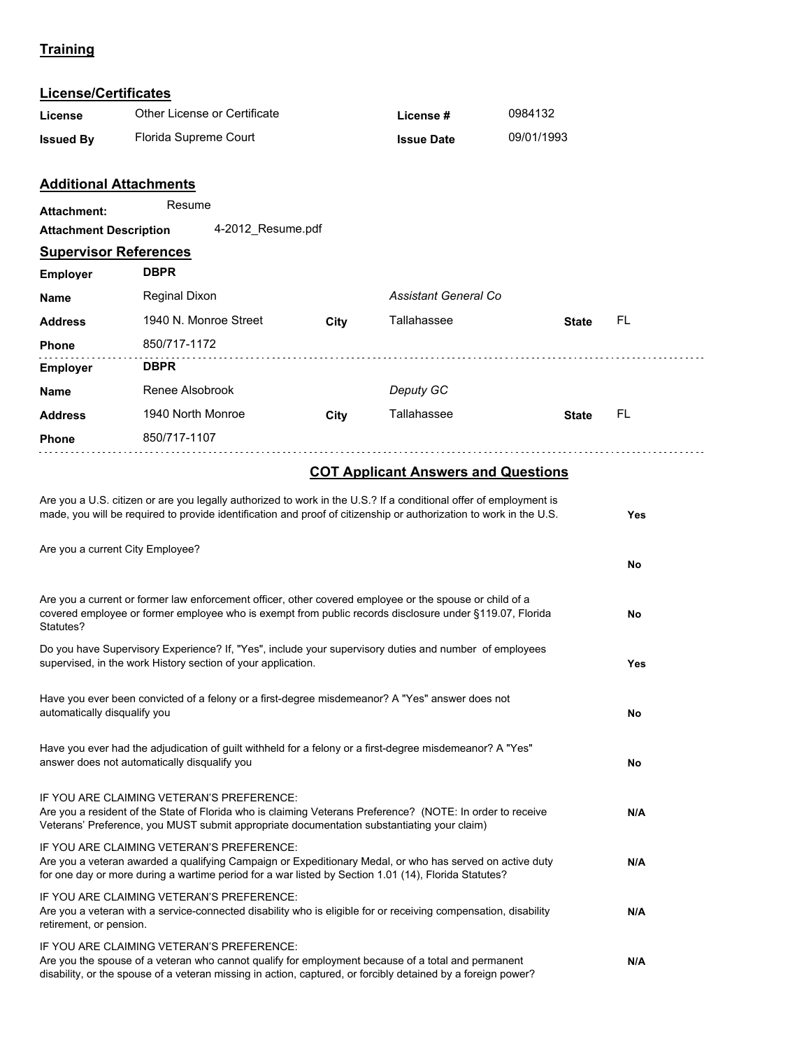# **Training**

# **License/Certificates**

| License                       | Other License or Certificate                                                                                                                                                                                                                                                                                                                                                                                                     |      | License #            | 0984132      |                 |
|-------------------------------|----------------------------------------------------------------------------------------------------------------------------------------------------------------------------------------------------------------------------------------------------------------------------------------------------------------------------------------------------------------------------------------------------------------------------------|------|----------------------|--------------|-----------------|
| <b>Issued By</b>              | Florida Supreme Court                                                                                                                                                                                                                                                                                                                                                                                                            |      | <b>Issue Date</b>    | 09/01/1993   |                 |
|                               |                                                                                                                                                                                                                                                                                                                                                                                                                                  |      |                      |              |                 |
|                               | <b>Additional Attachments</b>                                                                                                                                                                                                                                                                                                                                                                                                    |      |                      |              |                 |
| <b>Attachment:</b>            | Resume                                                                                                                                                                                                                                                                                                                                                                                                                           |      |                      |              |                 |
| <b>Attachment Description</b> | 4-2012_Resume.pdf                                                                                                                                                                                                                                                                                                                                                                                                                |      |                      |              |                 |
| <b>Supervisor References</b>  | <b>DBPR</b>                                                                                                                                                                                                                                                                                                                                                                                                                      |      |                      |              |                 |
| <b>Employer</b>               |                                                                                                                                                                                                                                                                                                                                                                                                                                  |      |                      |              |                 |
| Name                          | Reginal Dixon                                                                                                                                                                                                                                                                                                                                                                                                                    |      | Assistant General Co |              |                 |
| <b>Address</b>                | 1940 N. Monroe Street                                                                                                                                                                                                                                                                                                                                                                                                            | City | Tallahassee          | <b>State</b> | FL              |
| Phone                         | 850/717-1172                                                                                                                                                                                                                                                                                                                                                                                                                     |      |                      |              |                 |
| <b>Employer</b>               | <b>DBPR</b>                                                                                                                                                                                                                                                                                                                                                                                                                      |      |                      |              |                 |
| Name                          | Renee Alsobrook                                                                                                                                                                                                                                                                                                                                                                                                                  |      | Deputy GC            |              |                 |
| <b>Address</b>                | 1940 North Monroe                                                                                                                                                                                                                                                                                                                                                                                                                | City | Tallahassee          | <b>State</b> | FL              |
| Phone                         | 850/717-1107                                                                                                                                                                                                                                                                                                                                                                                                                     |      |                      |              |                 |
| Statutes?                     | Are you a current City Employee?<br>Are you a current or former law enforcement officer, other covered employee or the spouse or child of a<br>covered employee or former employee who is exempt from public records disclosure under §119.07, Florida<br>Do you have Supervisory Experience? If, "Yes", include your supervisory duties and number of employees<br>supervised, in the work History section of your application. |      |                      |              | No<br>No<br>Yes |
| automatically disqualify you  | Have you ever been convicted of a felony or a first-degree misdemeanor? A "Yes" answer does not                                                                                                                                                                                                                                                                                                                                  |      |                      |              | No              |
|                               | Have you ever had the adjudication of guilt withheld for a felony or a first-degree misdemeanor? A "Yes"<br>answer does not automatically disqualify you                                                                                                                                                                                                                                                                         |      |                      |              | No              |
|                               | IF YOU ARE CLAIMING VETERAN'S PREFERENCE:<br>Are you a resident of the State of Florida who is claiming Veterans Preference? (NOTE: In order to receive<br>Veterans' Preference, you MUST submit appropriate documentation substantiating your claim)                                                                                                                                                                            |      |                      |              | N/A             |
|                               | IF YOU ARE CLAIMING VETERAN'S PREFERENCE:<br>Are you a veteran awarded a qualifying Campaign or Expeditionary Medal, or who has served on active duty<br>for one day or more during a wartime period for a war listed by Section 1.01 (14), Florida Statutes?                                                                                                                                                                    |      |                      |              | N/A             |
| retirement, or pension.       | IF YOU ARE CLAIMING VETERAN'S PREFERENCE:<br>Are you a veteran with a service-connected disability who is eligible for or receiving compensation, disability                                                                                                                                                                                                                                                                     |      |                      |              | N/A             |
|                               | IF YOU ARE CLAIMING VETERAN'S PREFERENCE:<br>Are you the spouse of a veteran who cannot qualify for employment because of a total and permanent<br>disability, or the spouse of a veteran missing in action, captured, or forcibly detained by a foreign power?                                                                                                                                                                  |      |                      |              | N/A             |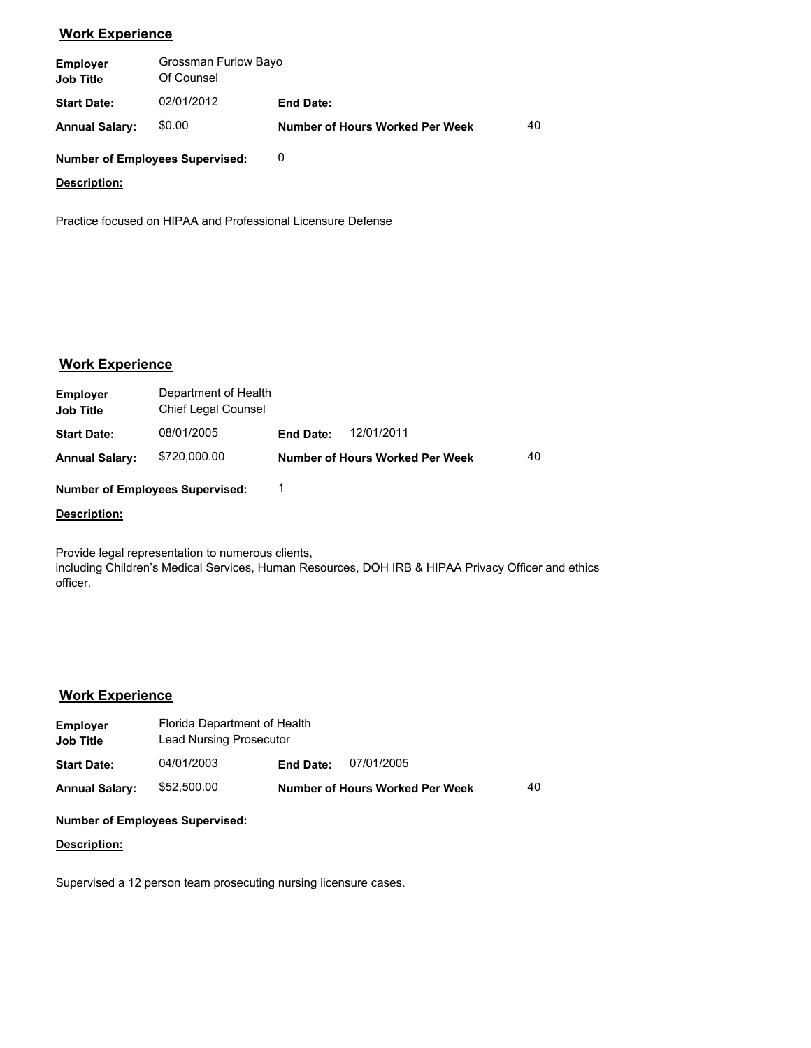# **Work Experience**

| <b>Employer</b><br><b>Job Title</b> | Grossman Furlow Bayo<br>Of Counsel |                                        |    |  |
|-------------------------------------|------------------------------------|----------------------------------------|----|--|
| <b>Start Date:</b>                  | 02/01/2012                         | <b>End Date:</b>                       |    |  |
| <b>Annual Salary:</b>               | \$0.00                             | <b>Number of Hours Worked Per Week</b> | 40 |  |

### **Number of Employees Supervised:** 0

### **Description:**

Practice focused on HIPAA and Professional Licensure Defense

## **Work Experience**

| <b>Employer</b><br><b>Job Title</b> | Department of Health<br>Chief Legal Counsel |                  |                                 |    |
|-------------------------------------|---------------------------------------------|------------------|---------------------------------|----|
| <b>Start Date:</b>                  | 08/01/2005                                  | <b>End Date:</b> | 12/01/2011                      |    |
| <b>Annual Salary:</b>               | \$720,000.00                                |                  | Number of Hours Worked Per Week | 40 |

**Number of Employees Supervised:** 1

#### **Description:**

Provide legal representation to numerous clients, including Children's Medical Services, Human Resources, DOH IRB & HIPAA Privacy Officer and ethics officer.

## **Work Experience**

| <b>Employer</b><br><b>Job Title</b> | Florida Department of Health<br>Lead Nursing Prosecutor |                  |                                 |    |
|-------------------------------------|---------------------------------------------------------|------------------|---------------------------------|----|
| <b>Start Date:</b>                  | 04/01/2003                                              | <b>End Date:</b> | 07/01/2005                      |    |
| <b>Annual Salary:</b>               | \$52,500.00                                             |                  | Number of Hours Worked Per Week | 40 |

#### **Number of Employees Supervised:**

### **Description:**

Supervised a 12 person team prosecuting nursing licensure cases.